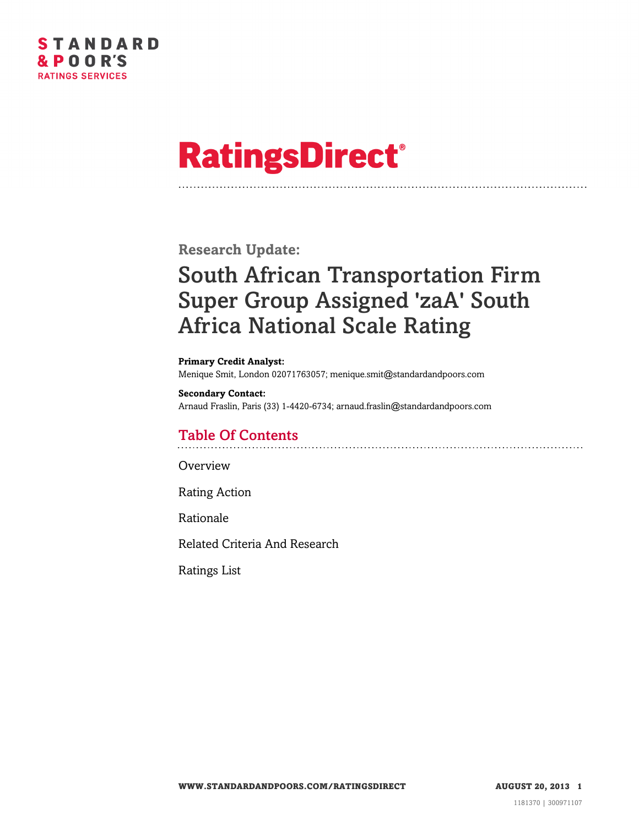

# **RatingsDirect®**

**Research Update:**

# South African Transportation Firm Super Group Assigned 'zaA' South Africa National Scale Rating

**Primary Credit Analyst:** Menique Smit, London 02071763057; menique.smit@standardandpoors.com

**Secondary Contact:** Arnaud Fraslin, Paris (33) 1-4420-6734; arnaud.fraslin@standardandpoors.com

### Table Of Contents

**[Overview](#page-1-0)** 

[Rating Action](#page-1-1)

[Rationale](#page-1-2)

[Related Criteria And Research](#page-3-0)

[Ratings List](#page-4-0)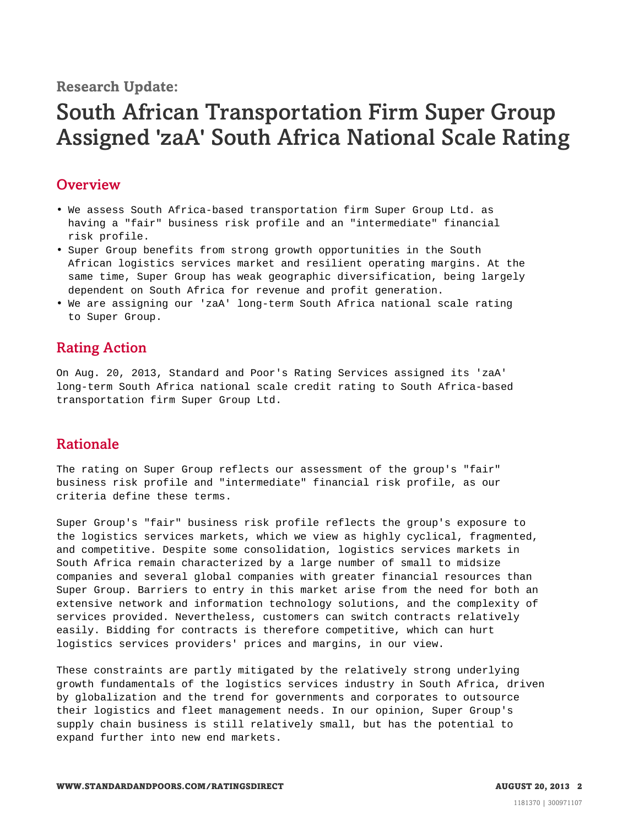#### **Research Update:**

## South African Transportation Firm Super Group Assigned 'zaA' South Africa National Scale Rating

#### <span id="page-1-0"></span>**Overview**

- We assess South Africa-based transportation firm Super Group Ltd. as having a "fair" business risk profile and an "intermediate" financial risk profile.
- Super Group benefits from strong growth opportunities in the South African logistics services market and resilient operating margins. At the same time, Super Group has weak geographic diversification, being largely dependent on South Africa for revenue and profit generation.
- <span id="page-1-1"></span>• We are assigning our 'zaA' long-term South Africa national scale rating to Super Group.

#### Rating Action

On Aug. 20, 2013, Standard and Poor's Rating Services assigned its 'zaA' long-term South Africa national scale credit rating to South Africa-based transportation firm Super Group Ltd.

#### <span id="page-1-2"></span>Rationale

The rating on Super Group reflects our assessment of the group's "fair" business risk profile and "intermediate" financial risk profile, as our criteria define these terms.

Super Group's "fair" business risk profile reflects the group's exposure to the logistics services markets, which we view as highly cyclical, fragmented, and competitive. Despite some consolidation, logistics services markets in South Africa remain characterized by a large number of small to midsize companies and several global companies with greater financial resources than Super Group. Barriers to entry in this market arise from the need for both an extensive network and information technology solutions, and the complexity of services provided. Nevertheless, customers can switch contracts relatively easily. Bidding for contracts is therefore competitive, which can hurt logistics services providers' prices and margins, in our view.

These constraints are partly mitigated by the relatively strong underlying growth fundamentals of the logistics services industry in South Africa, driven by globalization and the trend for governments and corporates to outsource their logistics and fleet management needs. In our opinion, Super Group's supply chain business is still relatively small, but has the potential to expand further into new end markets.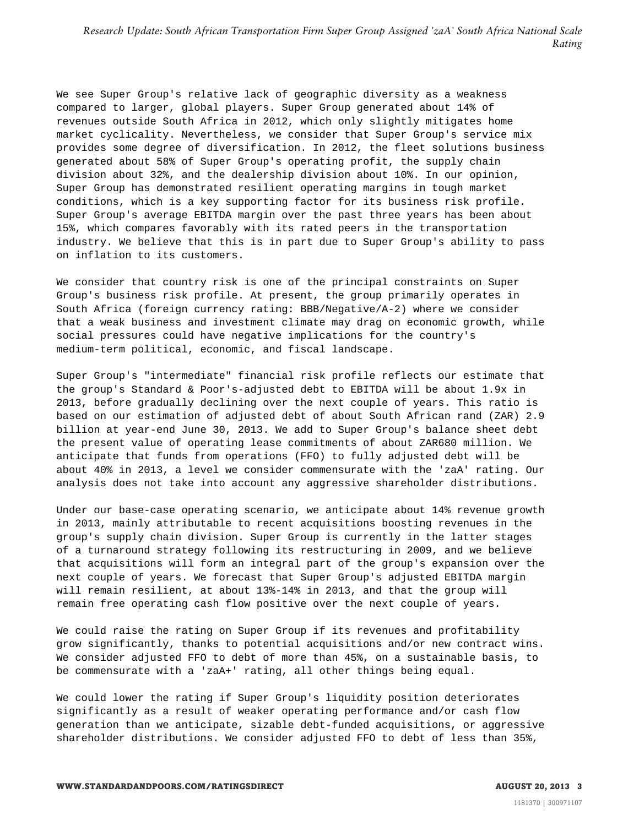*Research Update: South African Transportation Firm Super Group Assigned 'zaA' South Africa National Scale Rating*

We see Super Group's relative lack of geographic diversity as a weakness compared to larger, global players. Super Group generated about 14% of revenues outside South Africa in 2012, which only slightly mitigates home market cyclicality. Nevertheless, we consider that Super Group's service mix provides some degree of diversification. In 2012, the fleet solutions business generated about 58% of Super Group's operating profit, the supply chain division about 32%, and the dealership division about 10%. In our opinion, Super Group has demonstrated resilient operating margins in tough market conditions, which is a key supporting factor for its business risk profile. Super Group's average EBITDA margin over the past three years has been about 15%, which compares favorably with its rated peers in the transportation industry. We believe that this is in part due to Super Group's ability to pass on inflation to its customers.

We consider that country risk is one of the principal constraints on Super Group's business risk profile. At present, the group primarily operates in South Africa (foreign currency rating: BBB/Negative/A-2) where we consider that a weak business and investment climate may drag on economic growth, while social pressures could have negative implications for the country's medium-term political, economic, and fiscal landscape.

Super Group's "intermediate" financial risk profile reflects our estimate that the group's Standard & Poor's-adjusted debt to EBITDA will be about 1.9x in 2013, before gradually declining over the next couple of years. This ratio is based on our estimation of adjusted debt of about South African rand (ZAR) 2.9 billion at year-end June 30, 2013. We add to Super Group's balance sheet debt the present value of operating lease commitments of about ZAR680 million. We anticipate that funds from operations (FFO) to fully adjusted debt will be about 40% in 2013, a level we consider commensurate with the 'zaA' rating. Our analysis does not take into account any aggressive shareholder distributions.

Under our base-case operating scenario, we anticipate about 14% revenue growth in 2013, mainly attributable to recent acquisitions boosting revenues in the group's supply chain division. Super Group is currently in the latter stages of a turnaround strategy following its restructuring in 2009, and we believe that acquisitions will form an integral part of the group's expansion over the next couple of years. We forecast that Super Group's adjusted EBITDA margin will remain resilient, at about 13%-14% in 2013, and that the group will remain free operating cash flow positive over the next couple of years.

We could raise the rating on Super Group if its revenues and profitability grow significantly, thanks to potential acquisitions and/or new contract wins. We consider adjusted FFO to debt of more than 45%, on a sustainable basis, to be commensurate with a 'zaA+' rating, all other things being equal.

We could lower the rating if Super Group's liquidity position deteriorates significantly as a result of weaker operating performance and/or cash flow generation than we anticipate, sizable debt-funded acquisitions, or aggressive shareholder distributions. We consider adjusted FFO to debt of less than 35%,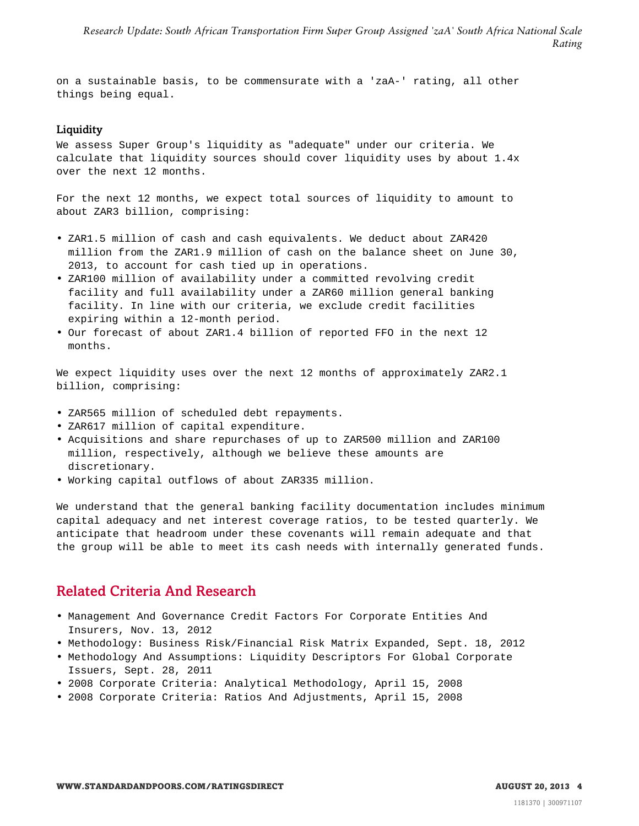on a sustainable basis, to be commensurate with a 'zaA-' rating, all other things being equal.

#### Liquidity

We assess Super Group's liquidity as "adequate" under our criteria. We calculate that liquidity sources should cover liquidity uses by about 1.4x over the next 12 months.

For the next 12 months, we expect total sources of liquidity to amount to about ZAR3 billion, comprising:

- ZAR1.5 million of cash and cash equivalents. We deduct about ZAR420 million from the ZAR1.9 million of cash on the balance sheet on June 30, 2013, to account for cash tied up in operations.
- ZAR100 million of availability under a committed revolving credit facility and full availability under a ZAR60 million general banking facility. In line with our criteria, we exclude credit facilities expiring within a 12-month period.
- Our forecast of about ZAR1.4 billion of reported FFO in the next 12 months.

We expect liquidity uses over the next 12 months of approximately ZAR2.1 billion, comprising:

- ZAR565 million of scheduled debt repayments.
- ZAR617 million of capital expenditure.
- Acquisitions and share repurchases of up to ZAR500 million and ZAR100 million, respectively, although we believe these amounts are discretionary.
- Working capital outflows of about ZAR335 million.

We understand that the general banking facility documentation includes minimum capital adequacy and net interest coverage ratios, to be tested quarterly. We anticipate that headroom under these covenants will remain adequate and that the group will be able to meet its cash needs with internally generated funds.

#### <span id="page-3-0"></span>Related Criteria And Research

- Management And Governance Credit Factors For Corporate Entities And Insurers, Nov. 13, 2012
- Methodology: Business Risk/Financial Risk Matrix Expanded, Sept. 18, 2012
- Methodology And Assumptions: Liquidity Descriptors For Global Corporate Issuers, Sept. 28, 2011
- 2008 Corporate Criteria: Analytical Methodology, April 15, 2008
- 2008 Corporate Criteria: Ratios And Adjustments, April 15, 2008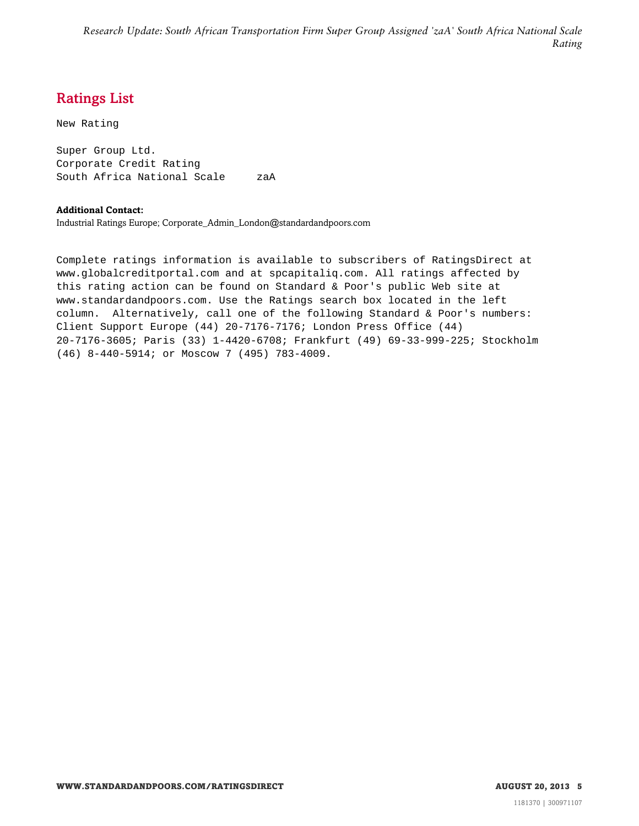### <span id="page-4-0"></span>Ratings List

New Rating

Super Group Ltd. Corporate Credit Rating South Africa National Scale zaA

#### **Additional Contact:**

Industrial Ratings Europe; Corporate\_Admin\_London@standardandpoors.com

Complete ratings information is available to subscribers of RatingsDirect at www.globalcreditportal.com and at spcapitaliq.com. All ratings affected by this rating action can be found on Standard & Poor's public Web site at www.standardandpoors.com. Use the Ratings search box located in the left column. Alternatively, call one of the following Standard & Poor's numbers: Client Support Europe (44) 20-7176-7176; London Press Office (44) 20-7176-3605; Paris (33) 1-4420-6708; Frankfurt (49) 69-33-999-225; Stockholm (46) 8-440-5914; or Moscow 7 (495) 783-4009.